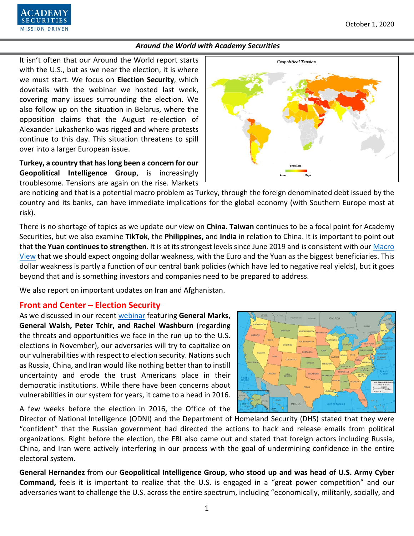It isn't often that our Around the World report starts with the U.S., but as we near the election, it is where we must start. We focus on **Election Security**, which dovetails with the webinar we hosted last week, covering many issues surrounding the election. We also follow up on the situation in Belarus, where the opposition claims that the August re-election of Alexander Lukashenko was rigged and where protests continue to this day. This situation threatens to spill over into a larger European issue.

**Turkey, a country that has long been a concern for our Geopolitical Intelligence Group**, is increasingly troublesome. Tensions are again on the rise. Markets

are noticing and that is a potential macro problem as Turkey, through the foreign denominated debt issued by the country and its banks, can have immediate implications for the global economy (with Southern Europe most at risk).

There is no shortage of topics as we update our view on **China**. **Taiwan** continues to be a focal point for Academy Securities, but we also examine **TikTok**, the **Philippines,** and **India** in relation to China. It is important to point out that **the Yuan continues to strengthen**. It is at its strongest levels since June 2019 and is consistent with ou[r Macro](https://www.academysecurities.com/macro-strategy-insights/)  [View](https://www.academysecurities.com/macro-strategy-insights/) that we should expect ongoing dollar weakness, with the Euro and the Yuan as the biggest beneficiaries. This dollar weakness is partly a function of our central bank policies (which have led to negative real yields), but it goes beyond that and is something investors and companies need to be prepared to address.

We also report on important updates on Iran and Afghanistan.

### **Front and Center – Election Security**

As we discussed in our recent [webinar](https://www.academysecurities.com/please-see-below-link-for-our-september-23rd-geopolitical-roundtable-featuring-academy-securities-advisory-board-members-lieutenant-general-ret-robert-s-walsh-and-major-general-ret-james/) featuring **General Marks, General Walsh, Peter Tchir, and Rachel Washburn** (regarding the threats and opportunities we face in the run up to the U.S. elections in November), our adversaries will try to capitalize on our vulnerabilities with respect to election security. Nations such as Russia, China, and Iran would like nothing better than to instill uncertainty and erode the trust Americans place in their democratic institutions. While there have been concerns about vulnerabilities in our system for years, it came to a head in 2016.

A few weeks before the election in 2016, the Office of the

Director of National Intelligence (ODNI) and the Department of Homeland Security (DHS) stated that they were "confident" that the Russian government had directed the actions to hack and release emails from political organizations. Right before the election, the FBI also came out and stated that foreign actors including Russia, China, and Iran were actively interfering in our process with the goal of undermining confidence in the entire electoral system.

**General Hernandez** from our **Geopolitical Intelligence Group, who stood up and was head of U.S. Army Cyber Command,** feels it is important to realize that the U.S. is engaged in a "great power competition" and our adversaries want to challenge the U.S. across the entire spectrum, including "economically, militarily, socially, and

1







NEW<br>MEXIC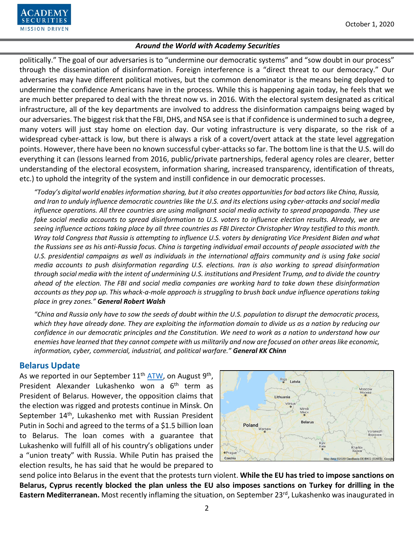politically." The goal of our adversaries is to "undermine our democratic systems" and "sow doubt in our process" through the dissemination of disinformation. Foreign interference is a "direct threat to our democracy." Our adversaries may have different political motives, but the common denominator is the means being deployed to undermine the confidence Americans have in the process. While this is happening again today, he feels that we are much better prepared to deal with the threat now vs. in 2016. With the electoral system designated as critical infrastructure, all of the key departments are involved to address the disinformation campaigns being waged by our adversaries. The biggest risk that the FBI, DHS, and NSA see isthat if confidence is undermined to such a degree, many voters will just stay home on election day. Our voting infrastructure is very disparate, so the risk of a widespread cyber-attack is low, but there is always a risk of a covert/overt attack at the state level aggregation points. However, there have been no known successful cyber-attacks so far. The bottom line is that the U.S. will do everything it can (lessons learned from 2016, public/private partnerships, federal agency roles are clearer, better understanding of the electoral ecosystem, information sharing, increased transparency, identification of threats, etc.) to uphold the integrity of the system and instill confidence in our democratic processes.

*"Today's digital world enables information sharing, but it also creates opportunities for bad actors like China, Russia, and Iran to unduly influence democratic countries like the U.S. and its elections using cyber-attacks and social media influence operations. All three countries are using malignant social media activity to spread propaganda. They use fake social media accounts to spread disinformation to U.S. voters to influence election results. Already, we are seeing influence actions taking place by all three countries as FBI Director Christopher Wray testified to this month. Wray told Congress that Russia is attempting to influence U.S. voters by denigrating Vice President Biden and what the Russians see as his anti-Russia focus. China is targeting individual email accounts of people associated with the U.S. presidential campaigns as well as individuals in the international affairs community and is using fake social media accounts to push disinformation regarding U.S. elections. Iran is also working to spread disinformation through social media with the intent of undermining U.S. institutions and President Trump, and to divide the country ahead of the election. The FBI and social media companies are working hard to take down these disinformation accounts as they pop up. This whack-a-mole approach is struggling to brush back undue influence operations taking place in grey zones." General Robert Walsh*

*"China and Russia only have to sow the seeds of doubt within the U.S. population to disrupt the democratic process,* which they have already done. They are exploiting the information domain to divide us as a nation by reducing our *confidence in our democratic principles and the Constitution. We need to work as a nation to understand how our enemies have learned that they cannot compete with us militarily and now are focused on other areas like economic, information, cyber, commercial, industrial, and political warfare." General KK Chinn*

# **Belarus Update**

As we reported in our September  $11<sup>th</sup>$  [ATW,](https://www.academysecurities.com/wordpress/wp-content/uploads/2020/09/Around-the-World-with-Academy-Securities_9-11-20.pdf) on August 9<sup>th</sup>, President Alexander Lukashenko won a 6<sup>th</sup> term as President of Belarus. However, the opposition claims that the election was rigged and protests continue in Minsk. On September 14<sup>th</sup>, Lukashenko met with Russian President Putin in Sochi and agreed to the terms of a \$1.5 billion loan to Belarus. The loan comes with a guarantee that Lukashenko will fulfill all of his country's obligations under a "union treaty" with Russia. While Putin has praised the election results, he has said that he would be prepared to



send police into Belarus in the event that the protests turn violent. **While the EU has tried to impose sanctions on Belarus, Cyprus recently blocked the plan unless the EU also imposes sanctions on Turkey for drilling in the Eastern Mediterranean.** Most recently inflaming the situation, on September 23<sup>rd</sup>, Lukashenko was inaugurated in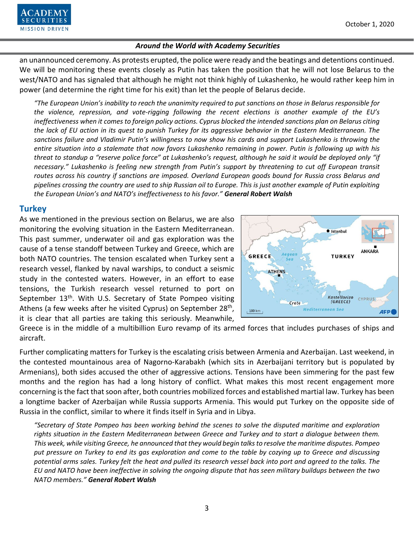

an unannounced ceremony. As protests erupted, the police were ready and the beatings and detentions continued. We will be monitoring these events closely as Putin has taken the position that he will not lose Belarus to the west/NATO and has signaled that although he might not think highly of Lukashenko, he would rather keep him in power (and determine the right time for his exit) than let the people of Belarus decide.

*"The European Union's inability to reach the unanimity required to put sanctions on those in Belarus responsible for the violence, repression, and vote-rigging following the recent elections is another example of the EU's ineffectiveness when it comes to foreign policy actions. Cyprus blocked the intended sanctions plan on Belarus citing the lack of EU action in its quest to punish Turkey for its aggressive behavior in the Eastern Mediterranean. The sanctions failure and Vladimir Putin's willingness to now show his cards and support Lukashenko is throwing the entire situation into a stalemate that now favors Lukashenko remaining in power. Putin is following up with his threat to standup a "reserve police force" at Lukashenko's request, although he said it would be deployed only "if necessary." Lukashenko is feeling new strength from Putin's support by threatening to cut off European transit routes across his country if sanctions are imposed. Overland European goods bound for Russia cross Belarus and pipelines crossing the country are used to ship Russian oil to Europe. This is just another example of Putin exploiting the European Union's and NATO's ineffectiveness to his favor." General Robert Walsh*

## **Turkey**

As we mentioned in the previous section on Belarus, we are also monitoring the evolving situation in the Eastern Mediterranean. This past summer, underwater oil and gas exploration was the cause of a tense standoff between Turkey and Greece, which are both NATO countries. The tension escalated when Turkey sent a research vessel, flanked by naval warships, to conduct a seismic study in the contested waters. However, in an effort to ease tensions, the Turkish research vessel returned to port on September 13<sup>th</sup>. With U.S. Secretary of State Pompeo visiting Athens (a few weeks after he visited Cyprus) on September  $28<sup>th</sup>$ , it is clear that all parties are taking this seriously. Meanwhile,



Greece is in the middle of a multibillion Euro revamp of its armed forces that includes purchases of ships and aircraft.

Further complicating matters for Turkey is the escalating crisis between Armenia and Azerbaijan. Last weekend, in the contested mountainous area of Nagorno-Karabakh (which sits in Azerbaijani territory but is populated by Armenians), both sides accused the other of aggressive actions. Tensions have been simmering for the past few months and the region has had a long history of conflict. What makes this most recent engagement more concerning is the fact that soon after, both countries mobilized forces and established martial law. Turkey has been a longtime backer of Azerbaijan while Russia supports Armenia. This would put Turkey on the opposite side of Russia in the conflict, similar to where it finds itself in Syria and in Libya.

*"Secretary of State Pompeo has been working behind the scenes to solve the disputed maritime and exploration rights situation in the Eastern Mediterranean between Greece and Turkey and to start a dialogue between them. This week, while visiting Greece, he announced that they would begin talks to resolve the maritime disputes. Pompeo put pressure on Turkey to end its gas exploration and come to the table by cozying up to Greece and discussing potential arms sales. Turkey felt the heat and pulled its research vessel back into port and agreed to the talks. The EU and NATO have been ineffective in solving the ongoing dispute that has seen military buildups between the two NATO members." General Robert Walsh*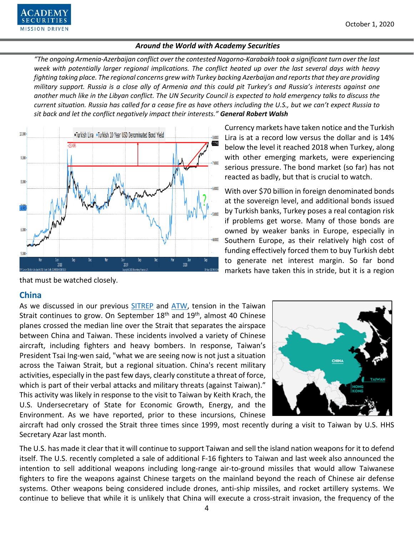*"The ongoing Armenia-Azerbaijan conflict over the contested Nagorno-Karabakh took a significant turn over the last week with potentially larger regional implications. The conflict heated up over the last several days with heavy fighting taking place. The regional concerns grew with Turkey backing Azerbaijan and reports that they are providing military support. Russia is a close ally of Armenia and this could pit Turkey's and Russia's interests against one another much like in the Libyan conflict. The UN Security Council is expected to hold emergency talks to discuss the current situation. Russia has called for a cease fire as have others including the U.S., but we can't expect Russia to sit back and let the conflict negatively impact their interests." General Robert Walsh*



Currency markets have taken notice and the Turkish Lira is at a record low versus the dollar and is 14% below the level it reached 2018 when Turkey, along with other emerging markets, were experiencing serious pressure. The bond market (so far) has not reacted as badly, but that is crucial to watch.

With over \$70 billion in foreign denominated bonds at the sovereign level, and additional bonds issued by Turkish banks, Turkey poses a real contagion risk if problems get worse. Many of those bonds are owned by weaker banks in Europe, especially in Southern Europe, as their relatively high cost of funding effectively forced them to buy Turkish debt to generate net interest margin. So far bond markets have taken this in stride, but it is a region

that must be watched closely.

# **China**

As we discussed in our previous [SITREP](https://www.academysecurities.com/is-taiwan-at-risk/) and [ATW,](https://www.academysecurities.com/wordpress/wp-content/uploads/2020/09/Around-the-World-with-Academy-Securities_9-11-20.pdf) tension in the Taiwan Strait continues to grow. On September  $18<sup>th</sup>$  and  $19<sup>th</sup>$ , almost 40 Chinese planes crossed the median line over the Strait that separates the airspace between China and Taiwan. These incidents involved a variety of Chinese aircraft, including fighters and heavy bombers. In response, Taiwan's President Tsai Ing-wen said, "what we are seeing now is not just a situation across the Taiwan Strait, but a regional situation. China's recent military activities, especially in the past few days, clearly constitute a threat of force, which is part of their verbal attacks and military threats (against Taiwan)." This activity was likely in response to the visit to Taiwan by Keith Krach, the U.S. Undersecretary of State for Economic Growth, Energy, and the Environment. As we have reported, prior to these incursions, Chinese



aircraft had only crossed the Strait three times since 1999, most recently during a visit to Taiwan by U.S. HHS Secretary Azar last month.

The U.S. has made it clear that it will continue to support Taiwan and sell the island nation weapons for it to defend itself. The U.S. recently completed a sale of additional F-16 fighters to Taiwan and last week also announced the intention to sell additional weapons including long-range air-to-ground missiles that would allow Taiwanese fighters to fire the weapons against Chinese targets on the mainland beyond the reach of Chinese air defense systems. Other weapons being considered include drones, anti-ship missiles, and rocket artillery systems. We continue to believe that while it is unlikely that China will execute a cross-strait invasion, the frequency of the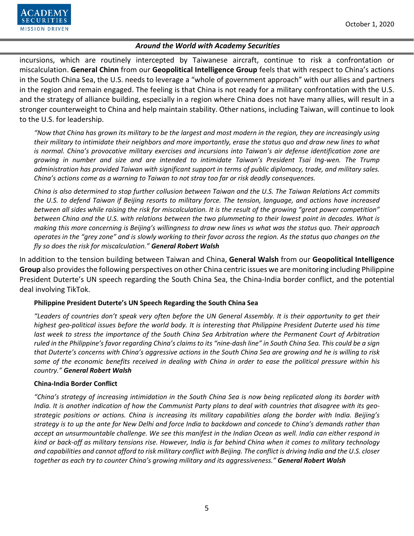

incursions, which are routinely intercepted by Taiwanese aircraft, continue to risk a confrontation or miscalculation. **General Chinn** from our **Geopolitical Intelligence Group** feels that with respect to China's actions in the South China Sea, the U.S. needs to leverage a "whole of government approach" with our allies and partners in the region and remain engaged. The feeling is that China is not ready for a military confrontation with the U.S. and the strategy of alliance building, especially in a region where China does not have many allies, will result in a stronger counterweight to China and help maintain stability. Other nations, including Taiwan, will continue to look to the U.S. for leadership.

*"Now that China has grown its military to be the largest and most modern in the region, they are increasingly using their military to intimidate their neighbors and more importantly, erase the status quo and draw new lines to what is normal. China's provocative military exercises and incursions into Taiwan's air defense identification zone are growing in number and size and are intended to intimidate Taiwan's President Tsai Ing-wen. The Trump administration has provided Taiwan with significant support in terms of public diplomacy, trade, and military sales. China's actions come as a warning to Taiwan to not stray too far or risk deadly consequences.*

*China is also determined to stop further collusion between Taiwan and the U.S. The Taiwan Relations Act commits the U.S. to defend Taiwan if Beijing resorts to military force. The tension, language, and actions have increased between all sides while raising the risk for miscalculation. It is the result of the growing "great power competition" between China and the U.S. with relations between the two plummeting to their lowest point in decades. What is making this more concerning is Beijing's willingness to draw new lines vs what was the status quo. Their approach operates in the "grey zone" and is slowly working to their favor across the region. As the status quo changes on the fly so does the risk for miscalculation." General Robert Walsh*

In addition to the tension building between Taiwan and China, **General Walsh** from our **Geopolitical Intelligence Group** also provides the following perspectives on other China centric issues we are monitoring including Philippine President Duterte's UN speech regarding the South China Sea, the China-India border conflict, and the potential deal involving TikTok.

## **Philippine President Duterte's UN Speech Regarding the South China Sea**

*"Leaders of countries don't speak very often before the UN General Assembly. It is their opportunity to get their highest geo-political issues before the world body. It is interesting that Philippine President Duterte used his time last week to stress the importance of the South China Sea Arbitration where the Permanent Court of Arbitration ruled in the Philippine's favor regarding China's claims to its "nine-dash line" in South China Sea. This could be a sign that Duterte's concerns with China's aggressive actions in the South China Sea are growing and he is willing to risk some of the economic benefits received in dealing with China in order to ease the political pressure within his country." General Robert Walsh*

### **China-India Border Conflict**

*"China's strategy of increasing intimidation in the South China Sea is now being replicated along its border with India. It is another indication of how the Communist Party plans to deal with countries that disagree with its geostrategic positions or actions. China is increasing its military capabilities along the border with India. Beijing's strategy is to up the ante for New Delhi and force India to backdown and concede to China's demands rather than accept an unsurmountable challenge. We see this manifest in the Indian Ocean as well. India can either respond in kind or back-off as military tensions rise. However, India is far behind China when it comes to military technology and capabilities and cannot afford to risk military conflict with Beijing. The conflict is driving India and the U.S. closer together as each try to counter China's growing military and its aggressiveness." General Robert Walsh*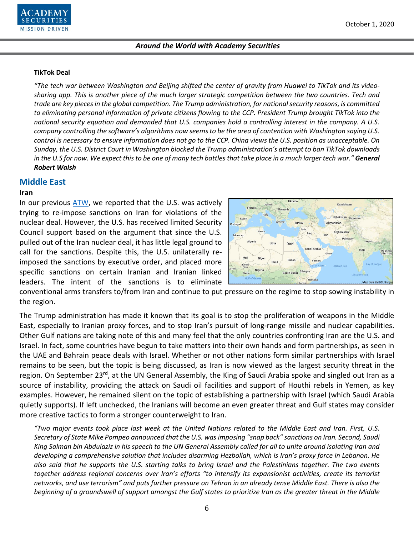

#### **TikTok Deal**

*"The tech war between Washington and Beijing shifted the center of gravity from Huawei to TikTok and its videosharing app. This is another piece of the much larger strategic competition between the two countries. Tech and trade are key pieces in the global competition. The Trump administration, for national security reasons, is committed to eliminating personal information of private citizens flowing to the CCP. President Trump brought TikTok into the national security equation and demanded that U.S. companies hold a controlling interest in the company. A U.S. company controlling the software's algorithms now seems to be the area of contention with Washington saying U.S. control is necessary to ensure information does not go to the CCP. China views the U.S. position as unacceptable. On Sunday, the U.S. District Court in Washington blocked the Trump administration's attempt to ban TikTok downloads in the U.S for now. We expect this to be one of many tech battles that take place in a much larger tech war." General Robert Walsh*

#### **Middle East**

#### **Iran**

In our previous [ATW,](https://www.academysecurities.com/wordpress/wp-content/uploads/2020/09/Around-the-World-with-Academy-Securities_9-11-20.pdf) we reported that the U.S. was actively trying to re-impose sanctions on Iran for violations of the nuclear deal. However, the U.S. has received limited Security Council support based on the argument that since the U.S. pulled out of the Iran nuclear deal, it has little legal ground to call for the sanctions. Despite this, the U.S. unilaterally reimposed the sanctions by executive order, and placed more specific sanctions on certain Iranian and Iranian linked leaders. The intent of the sanctions is to eliminate



conventional arms transfers to/from Iran and continue to put pressure on the regime to stop sowing instability in the region.

The Trump administration has made it known that its goal is to stop the proliferation of weapons in the Middle East, especially to Iranian proxy forces, and to stop Iran's pursuit of long-range missile and nuclear capabilities. Other Gulf nations are taking note of this and many feel that the only countries confronting Iran are the U.S. and Israel. In fact, some countries have begun to take matters into their own hands and form partnerships, as seen in the UAE and Bahrain peace deals with Israel. Whether or not other nations form similar partnerships with Israel remains to be seen, but the topic is being discussed, as Iran is now viewed as the largest security threat in the region. On September 23<sup>rd</sup>, at the UN General Assembly, the King of Saudi Arabia spoke and singled out Iran as a source of instability, providing the attack on Saudi oil facilities and support of Houthi rebels in Yemen, as key examples. However, he remained silent on the topic of establishing a partnership with Israel (which Saudi Arabia quietly supports). If left unchecked, the Iranians will become an even greater threat and Gulf states may consider more creative tactics to form a stronger counterweight to Iran.

*"Two major events took place last week at the United Nations related to the Middle East and Iran. First, U.S. Secretary of State Mike Pompeo announced that the U.S. was imposing "snap back" sanctions on Iran. Second, Saudi King Salman bin Abdulaziz in his speech to the UN General Assembly called for all to unite around isolating Iran and developing a comprehensive solution that includes disarming Hezbollah, which is Iran's proxy force in Lebanon. He also said that he supports the U.S. starting talks to bring Israel and the Palestinians together. The two events together address regional concerns over Iran's efforts "to intensify its expansionist activities, create its terrorist networks, and use terrorism" and puts further pressure on Tehran in an already tense Middle East. There is also the beginning of a groundswell of support amongst the Gulf states to prioritize Iran as the greater threat in the Middle*